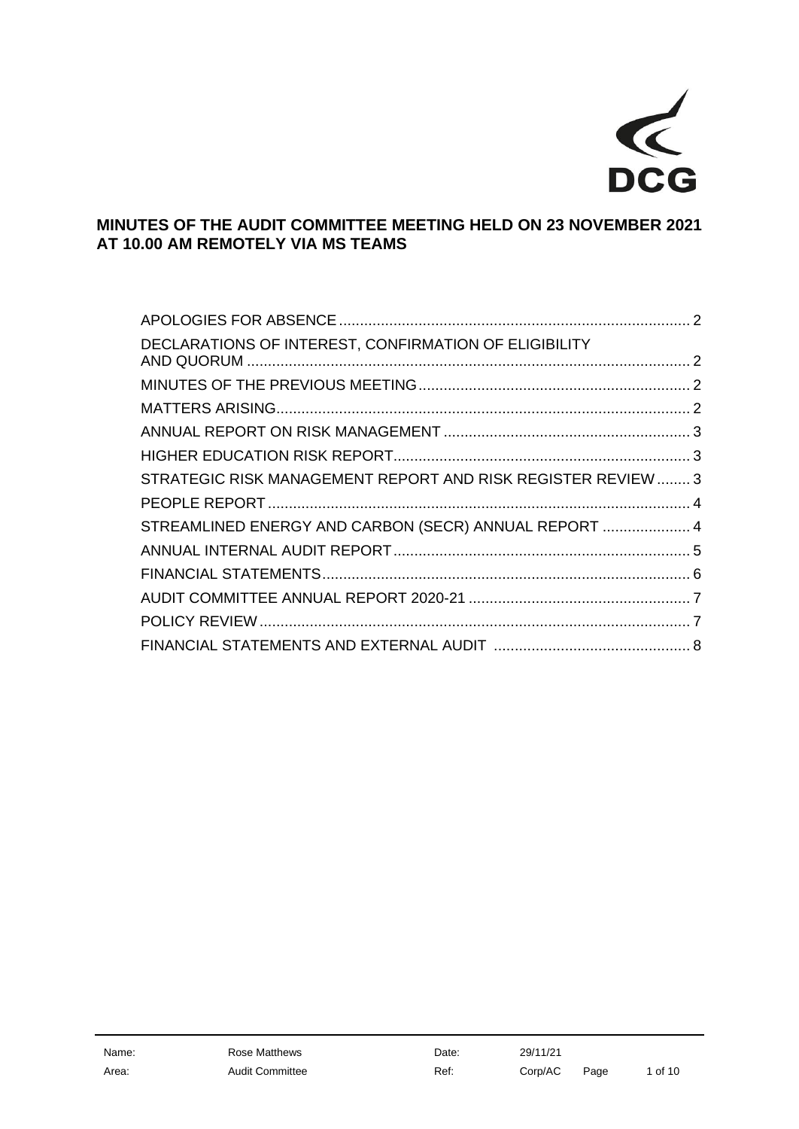

# **MINUTES OF THE AUDIT COMMITTEE MEETING HELD ON 23 NOVEMBER 2021 AT 10.00 AM REMOTELY VIA MS TEAMS**

| DECLARATIONS OF INTEREST, CONFIRMATION OF ELIGIBILITY        |  |
|--------------------------------------------------------------|--|
|                                                              |  |
|                                                              |  |
|                                                              |  |
|                                                              |  |
| STRATEGIC RISK MANAGEMENT REPORT AND RISK REGISTER REVIEW  3 |  |
|                                                              |  |
| STREAMLINED ENERGY AND CARBON (SECR) ANNUAL REPORT  4        |  |
|                                                              |  |
|                                                              |  |
|                                                              |  |
|                                                              |  |
|                                                              |  |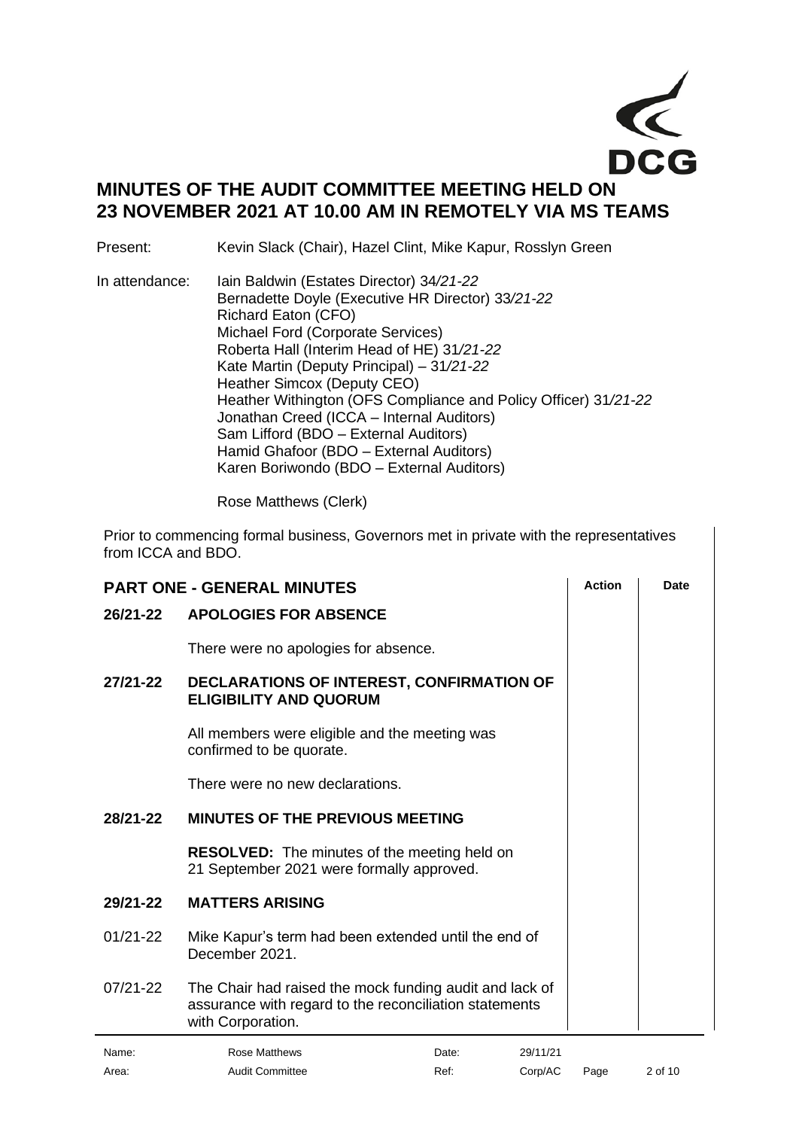

# **MINUTES OF THE AUDIT COMMITTEE MEETING HELD ON 23 NOVEMBER 2021 AT 10.00 AM IN REMOTELY VIA MS TEAMS**

Present: Kevin Slack (Chair), Hazel Clint, Mike Kapur, Rosslyn Green

In attendance: Iain Baldwin (Estates Director) 34*/21-22*  Bernadette Doyle (Executive HR Director) 33*/21-22*  Richard Eaton (CFO) Michael Ford (Corporate Services) Roberta Hall (Interim Head of HE) 31*/21-22* Kate Martin (Deputy Principal) – 31*/21-22* Heather Simcox (Deputy CEO) Heather Withington (OFS Compliance and Policy Officer) 31*/21-22*  Jonathan Creed (ICCA – Internal Auditors) Sam Lifford (BDO – External Auditors) Hamid Ghafoor (BDO – External Auditors) Karen Boriwondo (BDO – External Auditors)

Rose Matthews (Clerk)

Prior to commencing formal business, Governors met in private with the representatives from ICCA and BDO.

<span id="page-1-3"></span><span id="page-1-2"></span><span id="page-1-1"></span><span id="page-1-0"></span>

| <b>PART ONE - GENERAL MINUTES</b> |                                                                                                                                        |          | <b>Action</b> | <b>Date</b> |
|-----------------------------------|----------------------------------------------------------------------------------------------------------------------------------------|----------|---------------|-------------|
| 26/21-22                          | <b>APOLOGIES FOR ABSENCE</b>                                                                                                           |          |               |             |
|                                   | There were no apologies for absence.                                                                                                   |          |               |             |
| 27/21-22                          | DECLARATIONS OF INTEREST, CONFIRMATION OF<br><b>ELIGIBILITY AND QUORUM</b>                                                             |          |               |             |
|                                   | All members were eligible and the meeting was<br>confirmed to be quorate.                                                              |          |               |             |
|                                   | There were no new declarations.                                                                                                        |          |               |             |
| 28/21-22                          | <b>MINUTES OF THE PREVIOUS MEETING</b>                                                                                                 |          |               |             |
|                                   | <b>RESOLVED:</b> The minutes of the meeting held on<br>21 September 2021 were formally approved.                                       |          |               |             |
| 29/21-22                          | <b>MATTERS ARISING</b>                                                                                                                 |          |               |             |
| $01/21 - 22$                      | Mike Kapur's term had been extended until the end of<br>December 2021.                                                                 |          |               |             |
| $07/21 - 22$                      | The Chair had raised the mock funding audit and lack of<br>assurance with regard to the reconciliation statements<br>with Corporation. |          |               |             |
| Name:                             | Rose Matthews<br>Date:                                                                                                                 | 29/11/21 |               |             |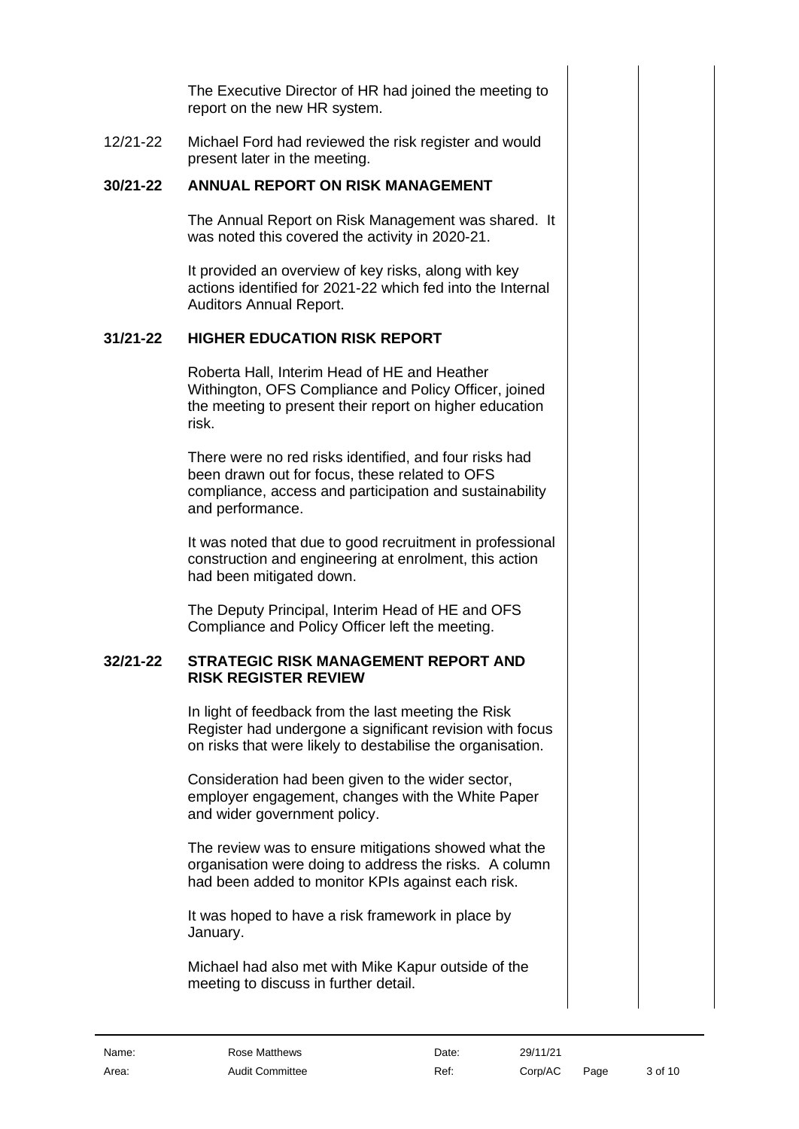The Executive Director of HR had joined the meeting to report on the new HR system.

12/21-22 Michael Ford had reviewed the risk register and would present later in the meeting.

#### **30/21-22 ANNUAL REPORT ON RISK MANAGEMENT**

<span id="page-2-0"></span>The Annual Report on Risk Management was shared. It was noted this covered the activity in 2020-21.

It provided an overview of key risks, along with key actions identified for 2021-22 which fed into the Internal Auditors Annual Report.

#### **31/21-22 HIGHER EDUCATION RISK REPORT**

<span id="page-2-1"></span>Roberta Hall, Interim Head of HE and Heather Withington, OFS Compliance and Policy Officer, joined the meeting to present their report on higher education risk.

There were no red risks identified, and four risks had been drawn out for focus, these related to OFS compliance, access and participation and sustainability and performance.

It was noted that due to good recruitment in professional construction and engineering at enrolment, this action had been mitigated down.

The Deputy Principal, Interim Head of HE and OFS Compliance and Policy Officer left the meeting.

#### **32/21-22 STRATEGIC RISK MANAGEMENT REPORT AND RISK REGISTER REVIEW**

<span id="page-2-2"></span>In light of feedback from the last meeting the Risk Register had undergone a significant revision with focus on risks that were likely to destabilise the organisation.

Consideration had been given to the wider sector, employer engagement, changes with the White Paper and wider government policy.

The review was to ensure mitigations showed what the organisation were doing to address the risks. A column had been added to monitor KPIs against each risk.

It was hoped to have a risk framework in place by January.

Michael had also met with Mike Kapur outside of the meeting to discuss in further detail.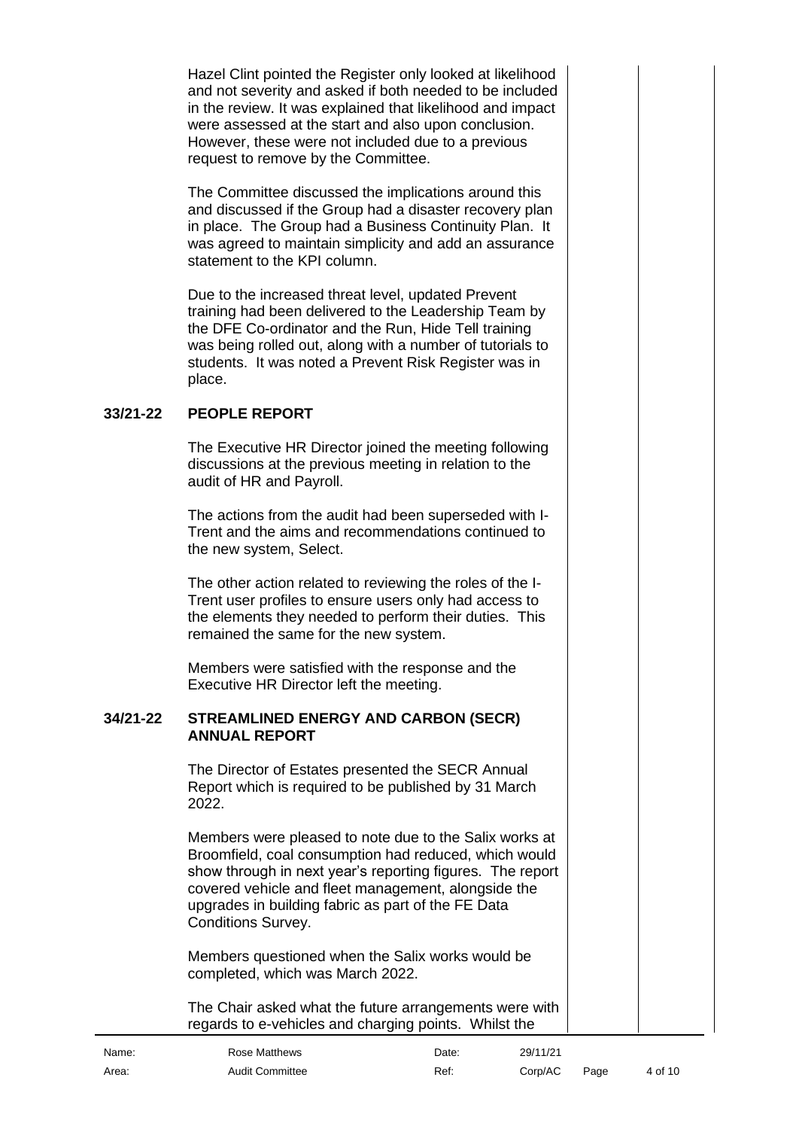Hazel Clint pointed the Register only looked at likelihood and not severity and asked if both needed to be included in the review. It was explained that likelihood and impact were assessed at the start and also upon conclusion. However, these were not included due to a previous request to remove by the Committee.

The Committee discussed the implications around this and discussed if the Group had a disaster recovery plan in place. The Group had a Business Continuity Plan. It was agreed to maintain simplicity and add an assurance statement to the KPI column.

Due to the increased threat level, updated Prevent training had been delivered to the Leadership Team by the DFE Co-ordinator and the Run, Hide Tell training was being rolled out, along with a number of tutorials to students. It was noted a Prevent Risk Register was in place.

#### **33/21-22 PEOPLE REPORT**

<span id="page-3-0"></span>The Executive HR Director joined the meeting following discussions at the previous meeting in relation to the audit of HR and Payroll.

The actions from the audit had been superseded with I-Trent and the aims and recommendations continued to the new system, Select.

The other action related to reviewing the roles of the I-Trent user profiles to ensure users only had access to the elements they needed to perform their duties. This remained the same for the new system.

<span id="page-3-1"></span>Members were satisfied with the response and the Executive HR Director left the meeting.

#### **34/21-22 STREAMLINED ENERGY AND CARBON (SECR) ANNUAL REPORT**

The Director of Estates presented the SECR Annual Report which is required to be published by 31 March 2022.

Members were pleased to note due to the Salix works at Broomfield, coal consumption had reduced, which would show through in next year's reporting figures. The report covered vehicle and fleet management, alongside the upgrades in building fabric as part of the FE Data Conditions Survey.

Members questioned when the Salix works would be completed, which was March 2022.

The Chair asked what the future arrangements were with regards to e-vehicles and charging points. Whilst the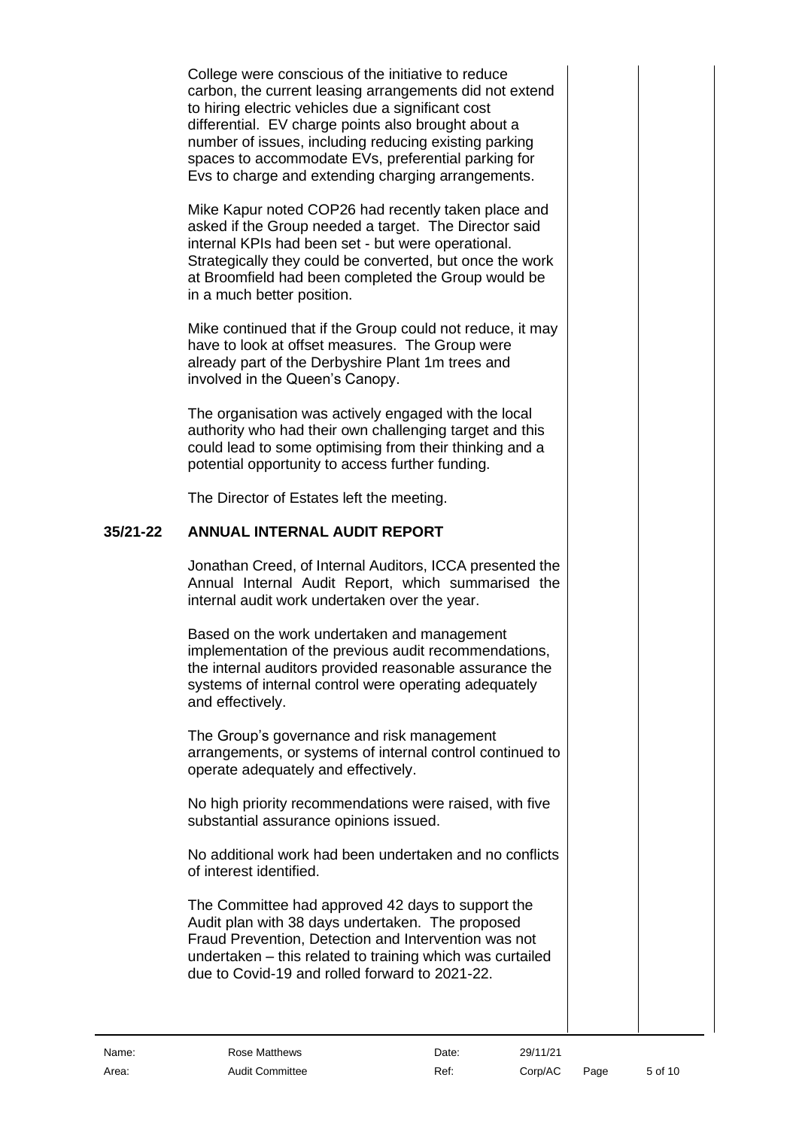College were conscious of the initiative to reduce carbon, the current leasing arrangements did not extend to hiring electric vehicles due a significant cost differential. EV charge points also brought about a number of issues, including reducing existing parking spaces to accommodate EVs, preferential parking for Evs to charge and extending charging arrangements.

Mike Kapur noted COP26 had recently taken place and asked if the Group needed a target. The Director said internal KPIs had been set - but were operational. Strategically they could be converted, but once the work at Broomfield had been completed the Group would be in a much better position.

Mike continued that if the Group could not reduce, it may have to look at offset measures. The Group were already part of the Derbyshire Plant 1m trees and involved in the Queen's Canopy.

The organisation was actively engaged with the local authority who had their own challenging target and this could lead to some optimising from their thinking and a potential opportunity to access further funding.

The Director of Estates left the meeting.

## **35/21-22 ANNUAL INTERNAL AUDIT REPORT**

<span id="page-4-0"></span>Jonathan Creed, of Internal Auditors, ICCA presented the Annual Internal Audit Report, which summarised the internal audit work undertaken over the year.

Based on the work undertaken and management implementation of the previous audit recommendations, the internal auditors provided reasonable assurance the systems of internal control were operating adequately and effectively.

The Group's governance and risk management arrangements, or systems of internal control continued to operate adequately and effectively.

No high priority recommendations were raised, with five substantial assurance opinions issued.

No additional work had been undertaken and no conflicts of interest identified.

The Committee had approved 42 days to support the Audit plan with 38 days undertaken. The proposed Fraud Prevention, Detection and Intervention was not undertaken – this related to training which was curtailed due to Covid-19 and rolled forward to 2021-22.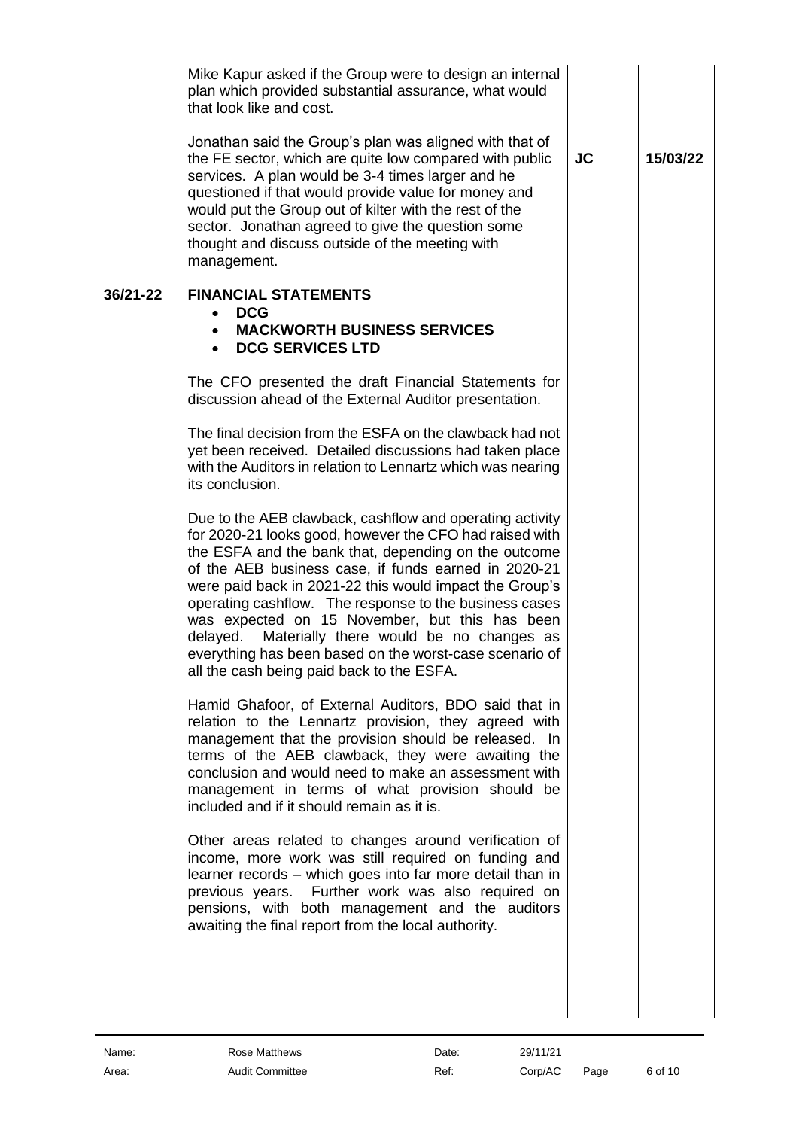<span id="page-5-0"></span>

|          | Mike Kapur asked if the Group were to design an internal<br>plan which provided substantial assurance, what would<br>that look like and cost.                                                                                                                                                                                                                                                                                                                                                                                                                             |           |          |
|----------|---------------------------------------------------------------------------------------------------------------------------------------------------------------------------------------------------------------------------------------------------------------------------------------------------------------------------------------------------------------------------------------------------------------------------------------------------------------------------------------------------------------------------------------------------------------------------|-----------|----------|
|          | Jonathan said the Group's plan was aligned with that of<br>the FE sector, which are quite low compared with public<br>services. A plan would be 3-4 times larger and he<br>questioned if that would provide value for money and<br>would put the Group out of kilter with the rest of the<br>sector. Jonathan agreed to give the question some<br>thought and discuss outside of the meeting with<br>management.                                                                                                                                                          | <b>JC</b> | 15/03/22 |
| 36/21-22 | <b>FINANCIAL STATEMENTS</b><br><b>DCG</b><br>$\bullet$<br><b>MACKWORTH BUSINESS SERVICES</b><br><b>DCG SERVICES LTD</b>                                                                                                                                                                                                                                                                                                                                                                                                                                                   |           |          |
|          | The CFO presented the draft Financial Statements for<br>discussion ahead of the External Auditor presentation.                                                                                                                                                                                                                                                                                                                                                                                                                                                            |           |          |
|          | The final decision from the ESFA on the clawback had not<br>yet been received. Detailed discussions had taken place<br>with the Auditors in relation to Lennartz which was nearing<br>its conclusion.                                                                                                                                                                                                                                                                                                                                                                     |           |          |
|          | Due to the AEB clawback, cashflow and operating activity<br>for 2020-21 looks good, however the CFO had raised with<br>the ESFA and the bank that, depending on the outcome<br>of the AEB business case, if funds earned in 2020-21<br>were paid back in 2021-22 this would impact the Group's<br>operating cashflow. The response to the business cases<br>was expected on 15 November, but this has been<br>Materially there would be no changes as<br>delayed.<br>everything has been based on the worst-case scenario of<br>all the cash being paid back to the ESFA. |           |          |
|          | Hamid Ghafoor, of External Auditors, BDO said that in<br>relation to the Lennartz provision, they agreed with<br>management that the provision should be released. In<br>terms of the AEB clawback, they were awaiting the<br>conclusion and would need to make an assessment with<br>management in terms of what provision should be<br>included and if it should remain as it is.                                                                                                                                                                                       |           |          |
|          | Other areas related to changes around verification of<br>income, more work was still required on funding and<br>learner records - which goes into far more detail than in<br>previous years. Further work was also required on<br>pensions, with both management and the auditors<br>awaiting the final report from the local authority.                                                                                                                                                                                                                                  |           |          |
|          |                                                                                                                                                                                                                                                                                                                                                                                                                                                                                                                                                                           |           |          |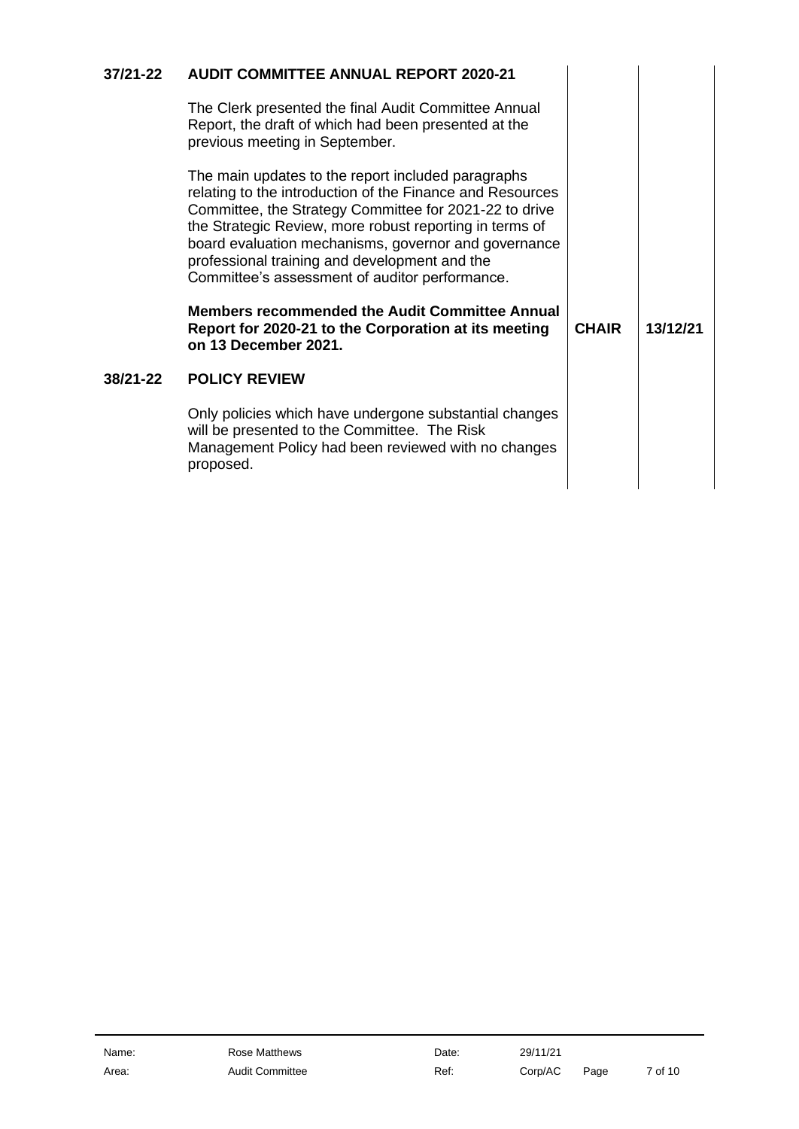<span id="page-6-1"></span><span id="page-6-0"></span>

| $37/21 - 22$ | <b>AUDIT COMMITTEE ANNUAL REPORT 2020-21</b>                                                                                                                                                                                                                                                                                                                                                                                                                                                                                             |              |          |
|--------------|------------------------------------------------------------------------------------------------------------------------------------------------------------------------------------------------------------------------------------------------------------------------------------------------------------------------------------------------------------------------------------------------------------------------------------------------------------------------------------------------------------------------------------------|--------------|----------|
|              | The Clerk presented the final Audit Committee Annual<br>Report, the draft of which had been presented at the<br>previous meeting in September.                                                                                                                                                                                                                                                                                                                                                                                           |              |          |
|              | The main updates to the report included paragraphs<br>relating to the introduction of the Finance and Resources<br>Committee, the Strategy Committee for 2021-22 to drive<br>the Strategic Review, more robust reporting in terms of<br>board evaluation mechanisms, governor and governance<br>professional training and development and the<br>Committee's assessment of auditor performance.<br><b>Members recommended the Audit Committee Annual</b><br>Report for 2020-21 to the Corporation at its meeting<br>on 13 December 2021. | <b>CHAIR</b> | 13/12/21 |
| 38/21-22     | <b>POLICY REVIEW</b>                                                                                                                                                                                                                                                                                                                                                                                                                                                                                                                     |              |          |
|              |                                                                                                                                                                                                                                                                                                                                                                                                                                                                                                                                          |              |          |
|              | Only policies which have undergone substantial changes<br>will be presented to the Committee. The Risk<br>Management Policy had been reviewed with no changes<br>proposed.                                                                                                                                                                                                                                                                                                                                                               |              |          |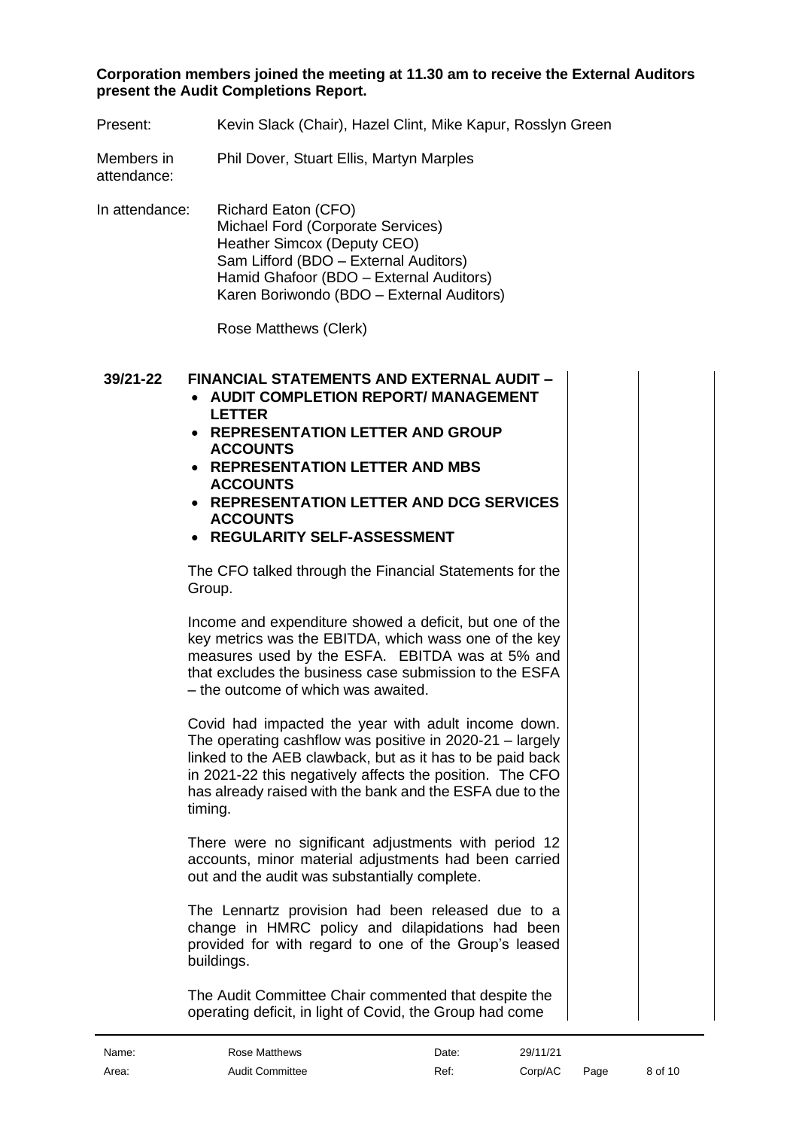#### **Corporation members joined the meeting at 11.30 am to receive the External Auditors present the Audit Completions Report.**

| Present: | Kevin Slack (Chair), Hazel Clint, Mike Kapur, Rosslyn Green |
|----------|-------------------------------------------------------------|
|----------|-------------------------------------------------------------|

Members in Phil Dover, Stuart Ellis, Martyn Marples

attendance:

In attendance: Richard Eaton (CFO) Michael Ford (Corporate Services) Heather Simcox (Deputy CEO) Sam Lifford (BDO – External Auditors) Hamid Ghafoor (BDO – External Auditors) Karen Boriwondo (BDO – External Auditors)

Rose Matthews (Clerk)

### **39/21-22 FINANCIAL STATEMENTS AND EXTERNAL AUDIT –**

- <span id="page-7-0"></span>• **AUDIT COMPLETION REPORT/ MANAGEMENT LETTER**
- **REPRESENTATION LETTER AND GROUP ACCOUNTS**
- **REPRESENTATION LETTER AND MBS ACCOUNTS**
- **REPRESENTATION LETTER AND DCG SERVICES ACCOUNTS**
- **REGULARITY SELF-ASSESSMENT**

The CFO talked through the Financial Statements for the Group.

Income and expenditure showed a deficit, but one of the key metrics was the EBITDA, which wass one of the key measures used by the ESFA. EBITDA was at 5% and that excludes the business case submission to the ESFA – the outcome of which was awaited.

Covid had impacted the year with adult income down. The operating cashflow was positive in 2020-21 – largely linked to the AEB clawback, but as it has to be paid back in 2021-22 this negatively affects the position. The CFO has already raised with the bank and the ESFA due to the timing.

There were no significant adjustments with period 12 accounts, minor material adjustments had been carried out and the audit was substantially complete.

The Lennartz provision had been released due to a change in HMRC policy and dilapidations had been provided for with regard to one of the Group's leased buildings.

The Audit Committee Chair commented that despite the operating deficit, in light of Covid, the Group had come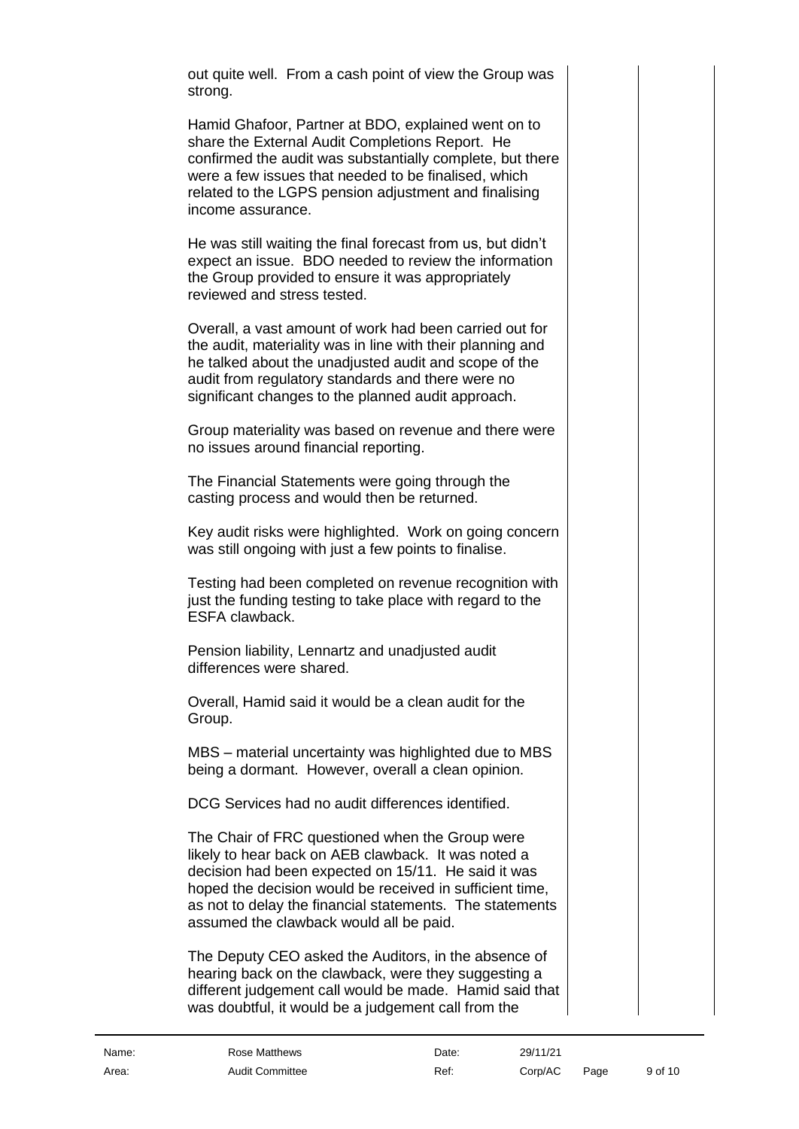out quite well. From a cash point of view the Group was strong.

Hamid Ghafoor, Partner at BDO, explained went on to share the External Audit Completions Report. He confirmed the audit was substantially complete, but there were a few issues that needed to be finalised, which related to the LGPS pension adjustment and finalising income assurance.

He was still waiting the final forecast from us, but didn't expect an issue. BDO needed to review the information the Group provided to ensure it was appropriately reviewed and stress tested.

Overall, a vast amount of work had been carried out for the audit, materiality was in line with their planning and he talked about the unadjusted audit and scope of the audit from regulatory standards and there were no significant changes to the planned audit approach.

Group materiality was based on revenue and there were no issues around financial reporting.

The Financial Statements were going through the casting process and would then be returned.

Key audit risks were highlighted. Work on going concern was still ongoing with just a few points to finalise.

Testing had been completed on revenue recognition with just the funding testing to take place with regard to the ESFA clawback.

Pension liability, Lennartz and unadjusted audit differences were shared.

Overall, Hamid said it would be a clean audit for the Group.

MBS – material uncertainty was highlighted due to MBS being a dormant. However, overall a clean opinion.

DCG Services had no audit differences identified.

The Chair of FRC questioned when the Group were likely to hear back on AEB clawback. It was noted a decision had been expected on 15/11. He said it was hoped the decision would be received in sufficient time, as not to delay the financial statements. The statements assumed the clawback would all be paid.

The Deputy CEO asked the Auditors, in the absence of hearing back on the clawback, were they suggesting a different judgement call would be made. Hamid said that was doubtful, it would be a judgement call from the